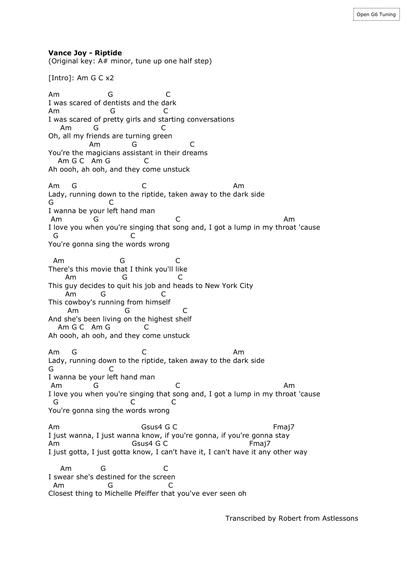**Vance Joy - Riptide**

(Original key: A# minor, tune up one half step)

[Intro]: Am G C x2

Am G C I was scared of dentists and the dark Am G C I was scared of pretty girls and starting conversations Am G C Oh, all my friends are turning green Am G C You're the magicians assistant in their dreams Am G C Am G C Ah oooh, ah ooh, and they come unstuck Am G C Am Lady, running down to the riptide, taken away to the dark side G C I wanna be your left hand man Am G C Am I love you when you're singing that song and, I got a lump in my throat 'cause G C You're gonna sing the words wrong Am G C There's this movie that I think you'll like Am G C This guy decides to quit his job and heads to New York City Am G C This cowboy's running from himself Am G C And she's been living on the highest shelf Am G C Am G C Ah oooh, ah ooh, and they come unstuck Am G C Am Lady, running down to the riptide, taken away to the dark side G C I wanna be your left hand man Am G C Am I love you when you're singing that song and, I got a lump in my throat 'cause G C C You're gonna sing the words wrong Am Gsus4 G C Fmaj7 I just wanna, I just wanna know, if you're gonna, if you're gonna stay Am Gsus4 G C Fmaj7 I just gotta, I just gotta know, I can't have it, I can't have it any other way Am G C I swear she's destined for the screen Am G C Closest thing to Michelle Pfeiffer that you've ever seen oh

Transcribed by Robert from Astlessons